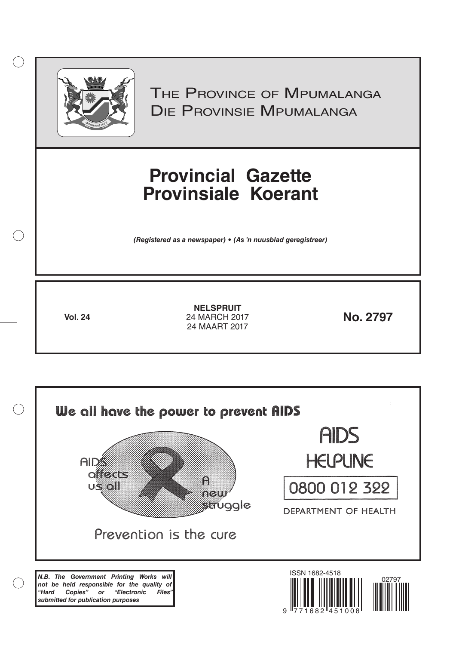

 $\bigcirc$ 

THE PROVINCE OF MPUMALANGA Die Provinsie Mpumalanga

# **Provincial Gazette Provinsiale Koerant**

*(Registered as a newspaper) • (As 'n nuusblad geregistreer)*

**Vol. 24 No. 2797** 24 MARCH 2017 **NELSPRUIT** 24 MAART 2017

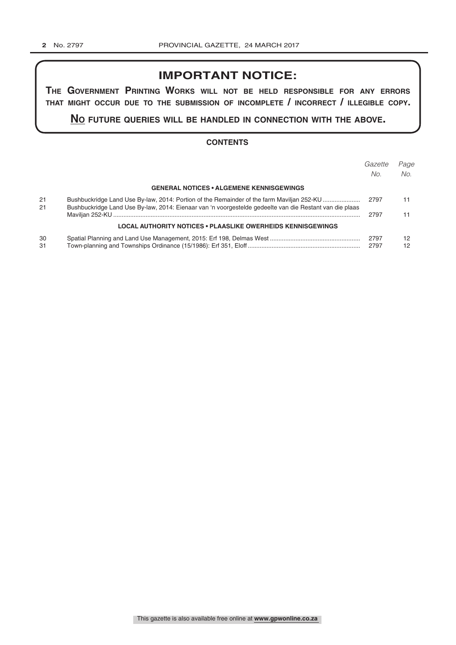# **IMPORTANT NOTICE:**

**The GovernmenT PrinTinG Works Will noT be held resPonsible for any errors ThaT miGhT occur due To The submission of incomPleTe / incorrecT / illeGible coPy.**

**no fuTure queries Will be handled in connecTion WiTh The above.**

#### **CONTENTS**

|          |                                                                                                                                                                                                      | Gazette | Page |
|----------|------------------------------------------------------------------------------------------------------------------------------------------------------------------------------------------------------|---------|------|
|          |                                                                                                                                                                                                      | No.     | No.  |
|          | <b>GENERAL NOTICES • ALGEMENE KENNISGEWINGS</b>                                                                                                                                                      |         |      |
| 21<br>21 | Bushbuckridge Land Use By-law, 2014: Portion of the Remainder of the farm Mavilian 252-KU<br>Bushbuckridge Land Use By-law, 2014: Eienaar van 'n voorgestelde gedeelte van die Restant van die plaas | 2797    | 11   |
|          |                                                                                                                                                                                                      | 2797    | 11   |
|          | <b>LOCAL AUTHORITY NOTICES • PLAASLIKE OWERHEIDS KENNISGEWINGS</b>                                                                                                                                   |         |      |
| 30       |                                                                                                                                                                                                      | 2797    | 12   |
| 31       |                                                                                                                                                                                                      | 2797    | 12   |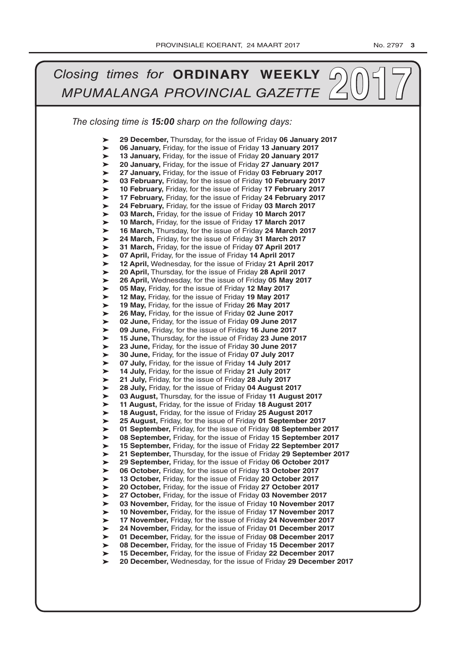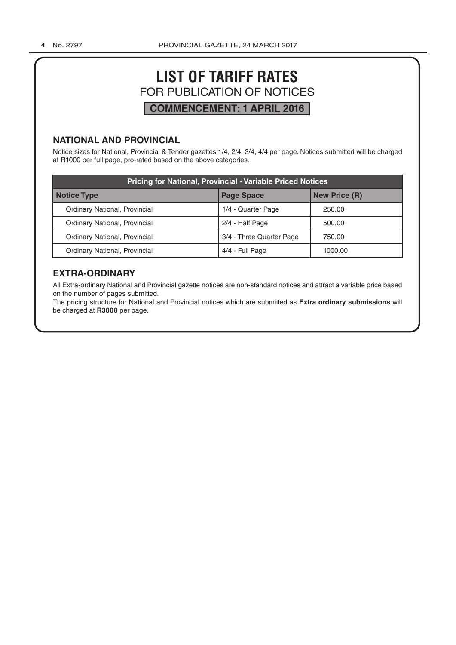# **LIST OF TARIFF RATES** FOR PUBLICATION OF NOTICES **COMMENCEMENT: 1 APRIL 2016**

#### **NATIONAL AND PROVINCIAL**

Notice sizes for National, Provincial & Tender gazettes 1/4, 2/4, 3/4, 4/4 per page. Notices submitted will be charged at R1000 per full page, pro-rated based on the above categories.

| <b>Pricing for National, Provincial - Variable Priced Notices</b> |                          |                      |  |  |  |  |
|-------------------------------------------------------------------|--------------------------|----------------------|--|--|--|--|
| Notice Type                                                       | <b>Page Space</b>        | <b>New Price (R)</b> |  |  |  |  |
| Ordinary National, Provincial                                     | 1/4 - Quarter Page       | 250.00               |  |  |  |  |
| Ordinary National, Provincial                                     | 2/4 - Half Page          | 500.00               |  |  |  |  |
| Ordinary National, Provincial                                     | 3/4 - Three Quarter Page | 750.00               |  |  |  |  |
| Ordinary National, Provincial                                     | 4/4 - Full Page          | 1000.00              |  |  |  |  |

#### **EXTRA-ORDINARY**

All Extra-ordinary National and Provincial gazette notices are non-standard notices and attract a variable price based on the number of pages submitted.

The pricing structure for National and Provincial notices which are submitted as **Extra ordinary submissions** will be charged at **R3000** per page.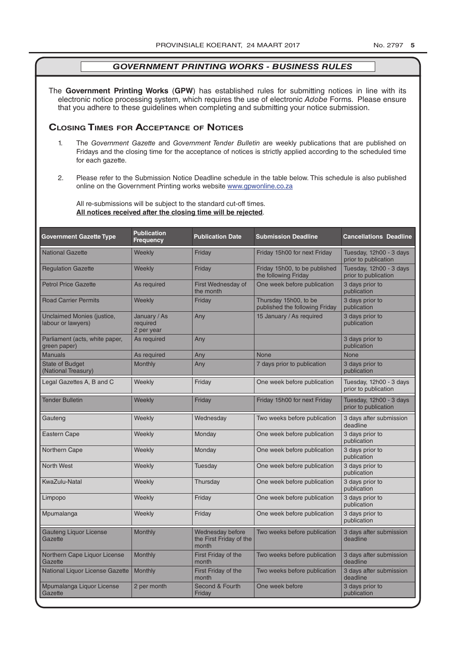The **Government Printing Works** (**GPW**) has established rules for submitting notices in line with its electronic notice processing system, which requires the use of electronic *Adobe* Forms. Please ensure that you adhere to these guidelines when completing and submitting your notice submission.

#### **Closing Times for ACCepTAnCe of noTiCes**

- 1. The *Government Gazette* and *Government Tender Bulletin* are weekly publications that are published on Fridays and the closing time for the acceptance of notices is strictly applied according to the scheduled time for each gazette.
- 2. Please refer to the Submission Notice Deadline schedule in the table below. This schedule is also published online on the Government Printing works website www.gpwonline.co.za

All re-submissions will be subject to the standard cut-off times. **All notices received after the closing time will be rejected**.

| <b>Government Gazette Type</b>                   | <b>Publication</b><br><b>Frequency</b> | <b>Publication Date</b>                              | <b>Submission Deadline</b>                              | <b>Cancellations Deadline</b>                   |
|--------------------------------------------------|----------------------------------------|------------------------------------------------------|---------------------------------------------------------|-------------------------------------------------|
| <b>National Gazette</b>                          | Weekly                                 | Friday                                               | Friday 15h00 for next Friday                            | Tuesday, 12h00 - 3 days<br>prior to publication |
| <b>Regulation Gazette</b>                        | Weekly                                 | Friday                                               | Friday 15h00, to be published<br>the following Friday   | Tuesday, 12h00 - 3 days<br>prior to publication |
| <b>Petrol Price Gazette</b>                      | As required                            | First Wednesday of<br>the month                      | One week before publication                             | 3 days prior to<br>publication                  |
| <b>Road Carrier Permits</b>                      | Weekly                                 | Friday                                               | Thursday 15h00, to be<br>published the following Friday | 3 days prior to<br>publication                  |
| Unclaimed Monies (justice,<br>labour or lawyers) | January / As<br>required<br>2 per year | Any                                                  | 15 January / As required                                | 3 days prior to<br>publication                  |
| Parliament (acts, white paper,<br>green paper)   | As required                            | Any                                                  |                                                         | 3 days prior to<br>publication                  |
| <b>Manuals</b>                                   | As required                            | Any                                                  | <b>None</b>                                             | <b>None</b>                                     |
| <b>State of Budget</b><br>(National Treasury)    | <b>Monthly</b>                         | Any                                                  | 7 days prior to publication                             | 3 days prior to<br>publication                  |
| Legal Gazettes A, B and C                        | Weekly                                 | Friday                                               | One week before publication                             | Tuesday, 12h00 - 3 days<br>prior to publication |
| <b>Tender Bulletin</b>                           | Weekly                                 | Friday                                               | Friday 15h00 for next Friday                            | Tuesday, 12h00 - 3 days<br>prior to publication |
| Gauteng                                          | Weekly                                 | Wednesday                                            | Two weeks before publication                            | 3 days after submission<br>deadline             |
| <b>Eastern Cape</b>                              | Weekly                                 | Monday                                               | One week before publication                             | 3 days prior to<br>publication                  |
| Northern Cape                                    | Weekly                                 | Monday                                               | One week before publication                             | 3 days prior to<br>publication                  |
| <b>North West</b>                                | Weekly                                 | Tuesday                                              | One week before publication                             | 3 days prior to<br>publication                  |
| KwaZulu-Natal                                    | Weekly                                 | Thursday                                             | One week before publication                             | 3 days prior to<br>publication                  |
| Limpopo                                          | Weekly                                 | Friday                                               | One week before publication                             | 3 days prior to<br>publication                  |
| Mpumalanga                                       | Weekly                                 | Friday                                               | One week before publication                             | 3 days prior to<br>publication                  |
| <b>Gauteng Liquor License</b><br>Gazette         | Monthly                                | Wednesday before<br>the First Friday of the<br>month | Two weeks before publication                            | 3 days after submission<br>deadline             |
| Northern Cape Liquor License<br>Gazette          | Monthly                                | First Friday of the<br>month                         | Two weeks before publication                            | 3 days after submission<br>deadline             |
| National Liquor License Gazette                  | <b>Monthly</b>                         | First Friday of the<br>month                         | Two weeks before publication                            | 3 days after submission<br>deadline             |
| Mpumalanga Liquor License<br>Gazette             | 2 per month                            | Second & Fourth<br>Friday                            | One week before                                         | 3 days prior to<br>publication                  |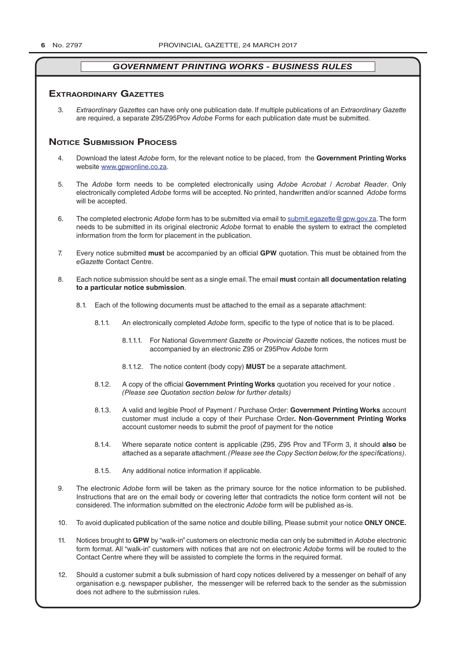#### **exTrAordinAry gAzeTTes**

3. *Extraordinary Gazettes* can have only one publication date. If multiple publications of an *Extraordinary Gazette* are required, a separate Z95/Z95Prov *Adobe* Forms for each publication date must be submitted.

#### **NOTICE SUBMISSION PROCESS**

- 4. Download the latest *Adobe* form, for the relevant notice to be placed, from the **Government Printing Works** website www.gpwonline.co.za.
- 5. The *Adobe* form needs to be completed electronically using *Adobe Acrobat* / *Acrobat Reader*. Only electronically completed *Adobe* forms will be accepted. No printed, handwritten and/or scanned *Adobe* forms will be accepted.
- 6. The completed electronic *Adobe* form has to be submitted via email to submit.egazette@gpw.gov.za. The form needs to be submitted in its original electronic *Adobe* format to enable the system to extract the completed information from the form for placement in the publication.
- 7. Every notice submitted **must** be accompanied by an official **GPW** quotation. This must be obtained from the *eGazette* Contact Centre.
- 8. Each notice submission should be sent as a single email. The email **must** contain **all documentation relating to a particular notice submission**.
	- 8.1. Each of the following documents must be attached to the email as a separate attachment:
		- 8.1.1. An electronically completed *Adobe* form, specific to the type of notice that is to be placed.
			- 8.1.1.1. For National *Government Gazette* or *Provincial Gazette* notices, the notices must be accompanied by an electronic Z95 or Z95Prov *Adobe* form
			- 8.1.1.2. The notice content (body copy) **MUST** be a separate attachment.
		- 8.1.2. A copy of the official **Government Printing Works** quotation you received for your notice . *(Please see Quotation section below for further details)*
		- 8.1.3. A valid and legible Proof of Payment / Purchase Order: **Government Printing Works** account customer must include a copy of their Purchase Order*.* **Non**-**Government Printing Works** account customer needs to submit the proof of payment for the notice
		- 8.1.4. Where separate notice content is applicable (Z95, Z95 Prov and TForm 3, it should **also** be attached as a separate attachment. *(Please see the Copy Section below, for the specifications)*.
		- 8.1.5. Any additional notice information if applicable.
- 9. The electronic *Adobe* form will be taken as the primary source for the notice information to be published. Instructions that are on the email body or covering letter that contradicts the notice form content will not be considered. The information submitted on the electronic *Adobe* form will be published as-is.
- 10. To avoid duplicated publication of the same notice and double billing, Please submit your notice **ONLY ONCE.**
- 11. Notices brought to **GPW** by "walk-in" customers on electronic media can only be submitted in *Adobe* electronic form format. All "walk-in" customers with notices that are not on electronic *Adobe* forms will be routed to the Contact Centre where they will be assisted to complete the forms in the required format.
- 12. Should a customer submit a bulk submission of hard copy notices delivered by a messenger on behalf of any organisation e.g. newspaper publisher, the messenger will be referred back to the sender as the submission does not adhere to the submission rules.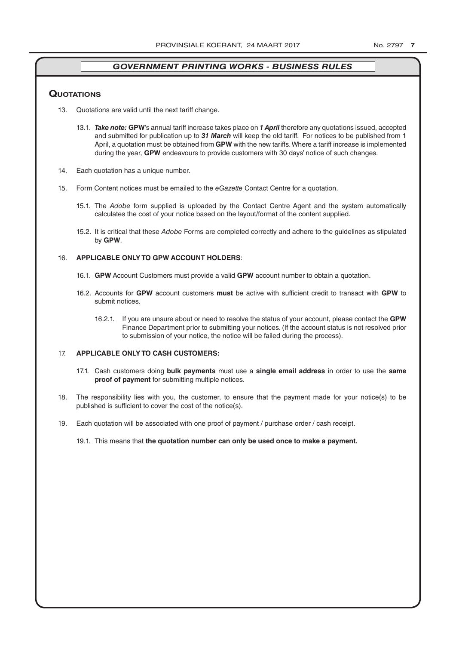#### **QuoTATions**

- 13. Quotations are valid until the next tariff change.
	- 13.1. *Take note:* **GPW**'s annual tariff increase takes place on *1 April* therefore any quotations issued, accepted and submitted for publication up to *31 March* will keep the old tariff. For notices to be published from 1 April, a quotation must be obtained from **GPW** with the new tariffs. Where a tariff increase is implemented during the year, **GPW** endeavours to provide customers with 30 days' notice of such changes.
- 14. Each quotation has a unique number.
- 15. Form Content notices must be emailed to the *eGazette* Contact Centre for a quotation.
	- 15.1. The *Adobe* form supplied is uploaded by the Contact Centre Agent and the system automatically calculates the cost of your notice based on the layout/format of the content supplied.
	- 15.2. It is critical that these *Adobe* Forms are completed correctly and adhere to the guidelines as stipulated by **GPW**.

#### 16. **APPLICABLE ONLY TO GPW ACCOUNT HOLDERS**:

- 16.1. **GPW** Account Customers must provide a valid **GPW** account number to obtain a quotation.
- 16.2. Accounts for **GPW** account customers **must** be active with sufficient credit to transact with **GPW** to submit notices.
	- 16.2.1. If you are unsure about or need to resolve the status of your account, please contact the **GPW** Finance Department prior to submitting your notices. (If the account status is not resolved prior to submission of your notice, the notice will be failed during the process).

#### 17. **APPLICABLE ONLY TO CASH CUSTOMERS:**

- 17.1. Cash customers doing **bulk payments** must use a **single email address** in order to use the **same proof of payment** for submitting multiple notices.
- 18. The responsibility lies with you, the customer, to ensure that the payment made for your notice(s) to be published is sufficient to cover the cost of the notice(s).
- 19. Each quotation will be associated with one proof of payment / purchase order / cash receipt.
	- 19.1. This means that **the quotation number can only be used once to make a payment.**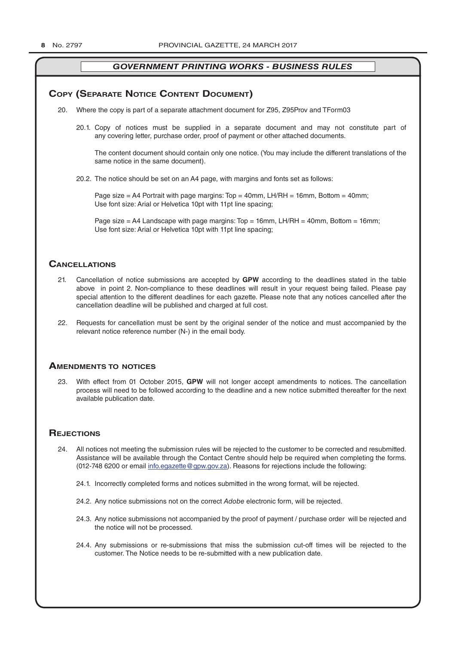#### **COPY (SEPARATE NOTICE CONTENT DOCUMENT)**

- 20. Where the copy is part of a separate attachment document for Z95, Z95Prov and TForm03
	- 20.1. Copy of notices must be supplied in a separate document and may not constitute part of any covering letter, purchase order, proof of payment or other attached documents.

The content document should contain only one notice. (You may include the different translations of the same notice in the same document).

20.2. The notice should be set on an A4 page, with margins and fonts set as follows:

Page size  $=$  A4 Portrait with page margins: Top  $=$  40mm, LH/RH  $=$  16mm, Bottom  $=$  40mm; Use font size: Arial or Helvetica 10pt with 11pt line spacing;

Page size = A4 Landscape with page margins: Top = 16mm, LH/RH = 40mm, Bottom = 16mm; Use font size: Arial or Helvetica 10pt with 11pt line spacing;

#### **CAnCellATions**

- 21. Cancellation of notice submissions are accepted by **GPW** according to the deadlines stated in the table above in point 2. Non-compliance to these deadlines will result in your request being failed. Please pay special attention to the different deadlines for each gazette. Please note that any notices cancelled after the cancellation deadline will be published and charged at full cost.
- 22. Requests for cancellation must be sent by the original sender of the notice and must accompanied by the relevant notice reference number (N-) in the email body.

#### **AmendmenTs To noTiCes**

23. With effect from 01 October 2015, **GPW** will not longer accept amendments to notices. The cancellation process will need to be followed according to the deadline and a new notice submitted thereafter for the next available publication date.

#### **REJECTIONS**

- 24. All notices not meeting the submission rules will be rejected to the customer to be corrected and resubmitted. Assistance will be available through the Contact Centre should help be required when completing the forms. (012-748 6200 or email info.egazette@gpw.gov.za). Reasons for rejections include the following:
	- 24.1. Incorrectly completed forms and notices submitted in the wrong format, will be rejected.
	- 24.2. Any notice submissions not on the correct *Adobe* electronic form, will be rejected.
	- 24.3. Any notice submissions not accompanied by the proof of payment / purchase order will be rejected and the notice will not be processed.
	- 24.4. Any submissions or re-submissions that miss the submission cut-off times will be rejected to the customer. The Notice needs to be re-submitted with a new publication date.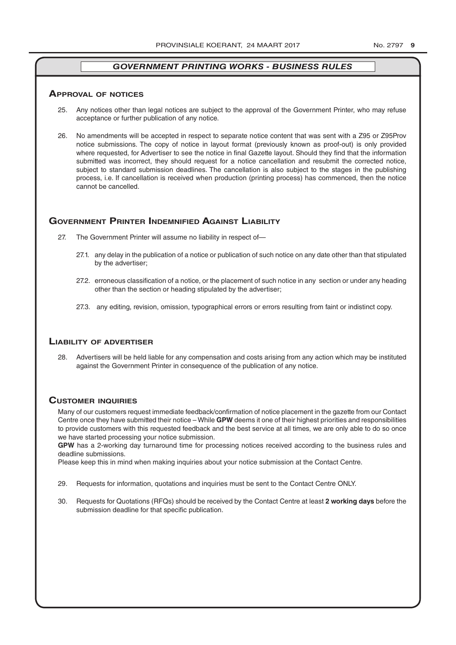#### **ApprovAl of noTiCes**

- 25. Any notices other than legal notices are subject to the approval of the Government Printer, who may refuse acceptance or further publication of any notice.
- 26. No amendments will be accepted in respect to separate notice content that was sent with a Z95 or Z95Prov notice submissions. The copy of notice in layout format (previously known as proof-out) is only provided where requested, for Advertiser to see the notice in final Gazette layout. Should they find that the information submitted was incorrect, they should request for a notice cancellation and resubmit the corrected notice, subject to standard submission deadlines. The cancellation is also subject to the stages in the publishing process, i.e. If cancellation is received when production (printing process) has commenced, then the notice cannot be cancelled.

#### **governmenT prinTer indemnified AgAinsT liAbiliTy**

- 27. The Government Printer will assume no liability in respect of—
	- 27.1. any delay in the publication of a notice or publication of such notice on any date other than that stipulated by the advertiser;
	- 27.2. erroneous classification of a notice, or the placement of such notice in any section or under any heading other than the section or heading stipulated by the advertiser;
	- 27.3. any editing, revision, omission, typographical errors or errors resulting from faint or indistinct copy.

#### **liAbiliTy of AdverTiser**

28. Advertisers will be held liable for any compensation and costs arising from any action which may be instituted against the Government Printer in consequence of the publication of any notice.

#### **CusTomer inQuiries**

Many of our customers request immediate feedback/confirmation of notice placement in the gazette from our Contact Centre once they have submitted their notice – While **GPW** deems it one of their highest priorities and responsibilities to provide customers with this requested feedback and the best service at all times, we are only able to do so once we have started processing your notice submission.

**GPW** has a 2-working day turnaround time for processing notices received according to the business rules and deadline submissions.

Please keep this in mind when making inquiries about your notice submission at the Contact Centre.

- 29. Requests for information, quotations and inquiries must be sent to the Contact Centre ONLY.
- 30. Requests for Quotations (RFQs) should be received by the Contact Centre at least **2 working days** before the submission deadline for that specific publication.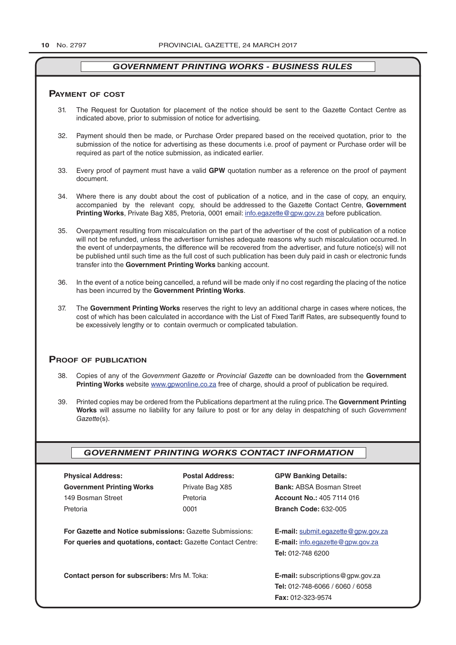#### **pAymenT of CosT**

- 31. The Request for Quotation for placement of the notice should be sent to the Gazette Contact Centre as indicated above, prior to submission of notice for advertising.
- 32. Payment should then be made, or Purchase Order prepared based on the received quotation, prior to the submission of the notice for advertising as these documents i.e. proof of payment or Purchase order will be required as part of the notice submission, as indicated earlier.
- 33. Every proof of payment must have a valid **GPW** quotation number as a reference on the proof of payment document.
- 34. Where there is any doubt about the cost of publication of a notice, and in the case of copy, an enquiry, accompanied by the relevant copy, should be addressed to the Gazette Contact Centre, **Government Printing Works**, Private Bag X85, Pretoria, 0001 email: info.egazette@gpw.gov.za before publication.
- 35. Overpayment resulting from miscalculation on the part of the advertiser of the cost of publication of a notice will not be refunded, unless the advertiser furnishes adequate reasons why such miscalculation occurred. In the event of underpayments, the difference will be recovered from the advertiser, and future notice(s) will not be published until such time as the full cost of such publication has been duly paid in cash or electronic funds transfer into the **Government Printing Works** banking account.
- 36. In the event of a notice being cancelled, a refund will be made only if no cost regarding the placing of the notice has been incurred by the **Government Printing Works**.
- 37. The **Government Printing Works** reserves the right to levy an additional charge in cases where notices, the cost of which has been calculated in accordance with the List of Fixed Tariff Rates, are subsequently found to be excessively lengthy or to contain overmuch or complicated tabulation.

#### **proof of publiCATion**

- 38. Copies of any of the *Government Gazette* or *Provincial Gazette* can be downloaded from the **Government Printing Works** website www.gpwonline.co.za free of charge, should a proof of publication be required.
- 39. Printed copies may be ordered from the Publications department at the ruling price. The **Government Printing Works** will assume no liability for any failure to post or for any delay in despatching of such *Government Gazette*(s).

#### *GOVERNMENT PRINTING WORKS CONTACT INFORMATION*

| <b>Physical Address:</b>                                 | <b>Postal Address:</b>                                              | <b>GPW Banking Details:</b>               |
|----------------------------------------------------------|---------------------------------------------------------------------|-------------------------------------------|
| <b>Government Printing Works</b>                         | Private Bag X85                                                     | <b>Bank: ABSA Bosman Street</b>           |
| 149 Bosman Street                                        | Pretoria                                                            | <b>Account No.: 405 7114 016</b>          |
| Pretoria                                                 | 0001                                                                | <b>Branch Code: 632-005</b>               |
| For Gazette and Notice submissions: Gazette Submissions: |                                                                     | <b>E-mail:</b> submit.eqazette@gpw.gov.za |
|                                                          | <b>For queries and quotations, contact: Gazette Contact Centre:</b> |                                           |
|                                                          |                                                                     | <b>Tel: 012-748 6200</b>                  |
| <b>Contact person for subscribers: Mrs M. Toka:</b>      | <b>E-mail:</b> subscriptions $@$ gpw.gov.za                         |                                           |
|                                                          |                                                                     | <b>Tel: 012-748-6066 / 6060 / 6058</b>    |
|                                                          |                                                                     | Fax: 012-323-9574                         |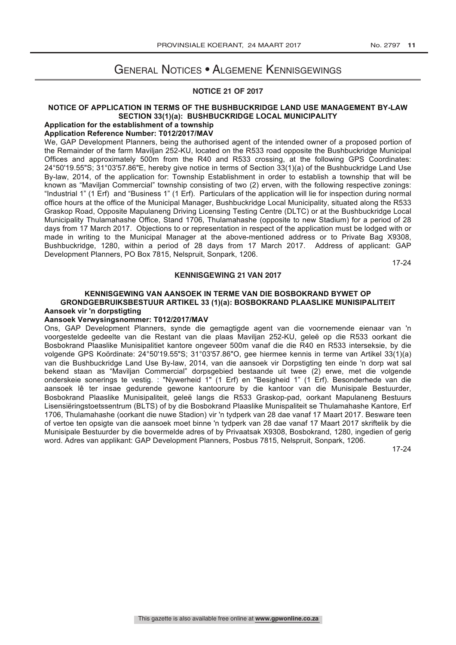## General Notices • Algemene Kennisgewings

#### **NOTICE 21 OF 2017**

#### **NOTICE OF APPLICATION IN TERMS OF THE BUSHBUCKRIDGE LAND USE MANAGEMENT BY-LAW SECTION 33(1)(a): BUSHBUCKRIDGE LOCAL MUNICIPALITY**

#### **Application for the establishment of a township Application Reference Number: T012/2017/MAV**

We, GAP Development Planners, being the authorised agent of the intended owner of a proposed portion of the Remainder of the farm Maviljan 252-KU, located on the R533 road opposite the Bushbuckridge Municipal Offices and approximately 500m from the R40 and R533 crossing, at the following GPS Coordinates: 24°50'19.55"S; 31°03'57.86"E, hereby give notice in terms of Section 33(1)(a) of the Bushbuckridge Land Use By-law, 2014, of the application for: Township Establishment in order to establish a township that will be known as "Maviljan Commercial" township consisting of two (2) erven, with the following respective zonings: "Industrial 1" (1 Erf) and "Business 1" (1 Erf). Particulars of the application will lie for inspection during normal office hours at the office of the Municipal Manager, Bushbuckridge Local Municipality, situated along the R533 Graskop Road, Opposite Mapulaneng Driving Licensing Testing Centre (DLTC) or at the Bushbuckridge Local Municipality Thulamahashe Office, Stand 1706, Thulamahashe (opposite to new Stadium) for a period of 28 days from 17 March 2017. Objections to or representation in respect of the application must be lodged with or made in writing to the Municipal Manager at the above-mentioned address or to Private Bag X9308, Bushbuckridge, 1280, within a period of 28 days from 17 March 2017. Address of applicant: GAP Development Planners, PO Box 7815, Nelspruit, Sonpark, 1206.

17-24

#### **KENNISGEWING 21 VAN 2017**

#### **KENNISGEWING VAN AANSOEK IN TERME VAN DIE BOSBOKRAND BYWET OP GRONDGEBRUIKSBESTUUR ARTIKEL 33 (1)(a): BOSBOKRAND PLAASLIKE MUNISIPALITEIT Aansoek vir 'n dorpstigting**

#### **Aansoek Verwysingsnommer: T012/2017/MAV**

Ons, GAP Development Planners, synde die gemagtigde agent van die voornemende eienaar van 'n voorgestelde gedeelte van die Restant van die plaas Maviljan 252-KU, geleë op die R533 oorkant die Bosbokrand Plaaslike Munisipalitiet kantore ongeveer 500m vanaf die die R40 en R533 interseksie, by die volgende GPS Koördinate: 24°50'19.55"S; 31°03'57.86"O, gee hiermee kennis in terme van Artikel 33(1)(a) van die Bushbuckridge Land Use By-law, 2014, van die aansoek vir Dorpstigting ten einde 'n dorp wat sal bekend staan as "Maviljan Commercial" dorpsgebied bestaande uit twee (2) erwe, met die volgende onderskeie sonerings te vestig. : "Nywerheid 1" (1 Erf) en "Besigheid 1" (1 Erf). Besonderhede van die aansoek lê ter insae gedurende gewone kantoorure by die kantoor van die Munisipale Bestuurder, Bosbokrand Plaaslike Munisipaliteit, geleë langs die R533 Graskop-pad, oorkant Mapulaneng Bestuurs Lisensiëringstoetssentrum (BLTS) of by die Bosbokrand Plaaslike Munispaliteit se Thulamahashe Kantore, Erf 1706, Thulamahashe (oorkant die nuwe Stadion) vir 'n tydperk van 28 dae vanaf 17 Maart 2017. Besware teen of vertoe ten opsigte van die aansoek moet binne 'n tydperk van 28 dae vanaf 17 Maart 2017 skriftelik by die Munisipale Bestuurder by die bovermelde adres of by Privaatsak X9308, Bosbokrand, 1280, ingedien of gerig word. Adres van applikant: GAP Development Planners, Posbus 7815, Nelspruit, Sonpark, 1206.

17-24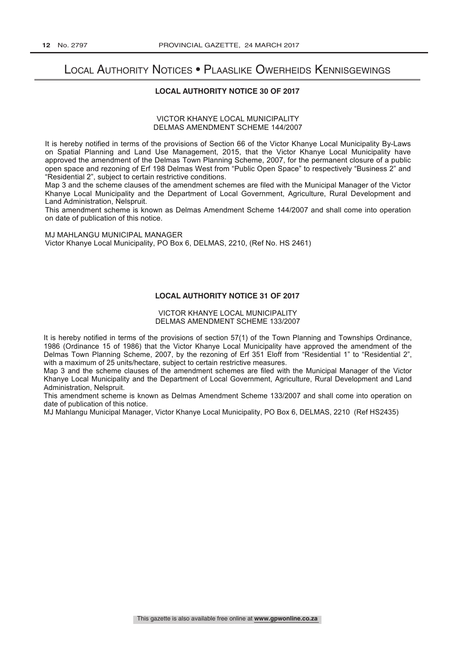### Local Authority Notices • Plaaslike Owerheids Kennisgewings

#### **LOCAL AUTHORITY NOTICE 30 OF 2017**

#### VICTOR KHANYE LOCAL MUNICIPALITY DELMAS AMENDMENT SCHEME 144/2007

It is hereby notified in terms of the provisions of Section 66 of the Victor Khanye Local Municipality By-Laws on Spatial Planning and Land Use Management, 2015, that the Victor Khanye Local Municipality have approved the amendment of the Delmas Town Planning Scheme, 2007, for the permanent closure of a public open space and rezoning of Erf 198 Delmas West from "Public Open Space" to respectively "Business 2" and "Residential 2", subject to certain restrictive conditions.

Map 3 and the scheme clauses of the amendment schemes are filed with the Municipal Manager of the Victor Khanye Local Municipality and the Department of Local Government, Agriculture, Rural Development and Land Administration, Nelspruit.

This amendment scheme is known as Delmas Amendment Scheme 144/2007 and shall come into operation on date of publication of this notice.

MJ MAHLANGU MUNICIPAL MANAGER Victor Khanye Local Municipality, PO Box 6, DELMAS, 2210, (Ref No. HS 2461)

#### **LOCAL AUTHORITY NOTICE 31 OF 2017**

#### VICTOR KHANYE LOCAL MUNICIPALITY DELMAS AMENDMENT SCHEME 133/2007

It is hereby notified in terms of the provisions of section 57(1) of the Town Planning and Townships Ordinance, 1986 (Ordinance 15 of 1986) that the Victor Khanye Local Municipality have approved the amendment of the Delmas Town Planning Scheme, 2007, by the rezoning of Erf 351 Eloff from "Residential 1" to "Residential 2", with a maximum of 25 units/hectare, subject to certain restrictive measures.

Map 3 and the scheme clauses of the amendment schemes are filed with the Municipal Manager of the Victor Khanye Local Municipality and the Department of Local Government, Agriculture, Rural Development and Land Administration, Nelspruit.

This amendment scheme is known as Delmas Amendment Scheme 133/2007 and shall come into operation on date of publication of this notice.

MJ Mahlangu Municipal Manager, Victor Khanye Local Municipality, PO Box 6, DELMAS, 2210 (Ref HS2435)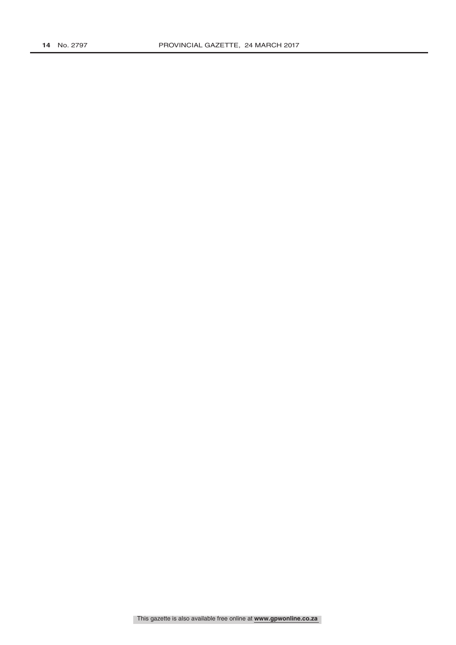This gazette is also available free online at **www.gpwonline.co.za**